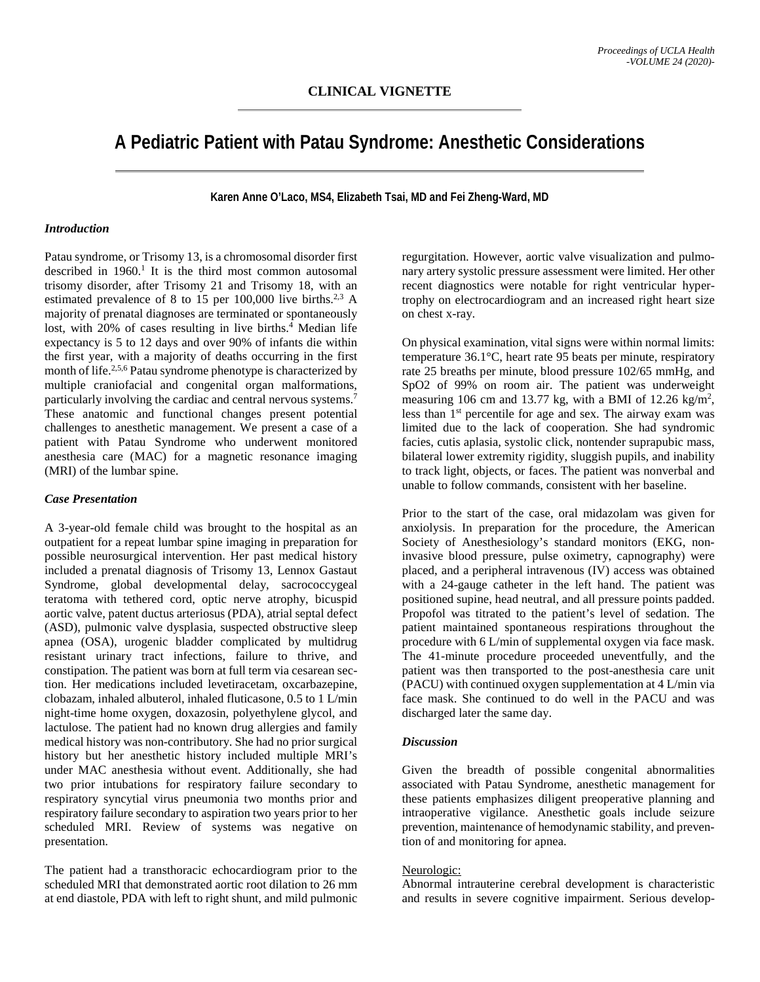# **A Pediatric Patient with Patau Syndrome: Anesthetic Considerations**

**Karen Anne O'Laco, MS4, Elizabeth Tsai, MD and Fei Zheng-Ward, MD**

## *Introduction*

Patau syndrome, or Trisomy 13, is a chromosomal disorder first described in  $1960$ .<sup>1</sup> It is the third most common autosomal trisomy disorder, after Trisomy 21 and Trisomy 18, with an estimated prevalence of 8 to 15 per  $100,000$  live births.<sup>2,3</sup> A majority of prenatal diagnoses are terminated or spontaneously lost, with 20% of cases resulting in live births.<sup>4</sup> Median life expectancy is 5 to 12 days and over 90% of infants die within the first year, with a majority of deaths occurring in the first month of life.<sup>2,5,6</sup> Patau syndrome phenotype is characterized by multiple craniofacial and congenital organ malformations, particularly involving the cardiac and central nervous systems. 7 These anatomic and functional changes present potential challenges to anesthetic management. We present a case of a patient with Patau Syndrome who underwent monitored anesthesia care (MAC) for a magnetic resonance imaging (MRI) of the lumbar spine.

# *Case Presentation*

A 3-year-old female child was brought to the hospital as an outpatient for a repeat lumbar spine imaging in preparation for possible neurosurgical intervention. Her past medical history included a prenatal diagnosis of Trisomy 13, Lennox Gastaut Syndrome, global developmental delay, sacrococcygeal teratoma with tethered cord, optic nerve atrophy, bicuspid aortic valve, patent ductus arteriosus (PDA), atrial septal defect (ASD), pulmonic valve dysplasia, suspected obstructive sleep apnea (OSA), urogenic bladder complicated by multidrug resistant urinary tract infections, failure to thrive, and constipation. The patient was born at full term via cesarean section. Her medications included levetiracetam, oxcarbazepine, clobazam, inhaled albuterol, inhaled fluticasone, 0.5 to 1 L/min night-time home oxygen, doxazosin, polyethylene glycol, and lactulose. The patient had no known drug allergies and family medical history was non-contributory. She had no prior surgical history but her anesthetic history included multiple MRI's under MAC anesthesia without event. Additionally, she had two prior intubations for respiratory failure secondary to respiratory syncytial virus pneumonia two months prior and respiratory failure secondary to aspiration two years prior to her scheduled MRI. Review of systems was negative on presentation.

The patient had a transthoracic echocardiogram prior to the scheduled MRI that demonstrated aortic root dilation to 26 mm at end diastole, PDA with left to right shunt, and mild pulmonic regurgitation. However, aortic valve visualization and pulmonary artery systolic pressure assessment were limited. Her other recent diagnostics were notable for right ventricular hypertrophy on electrocardiogram and an increased right heart size on chest x-ray.

On physical examination, vital signs were within normal limits: temperature 36.1°C, heart rate 95 beats per minute, respiratory rate 25 breaths per minute, blood pressure 102/65 mmHg, and SpO2 of 99% on room air. The patient was underweight measuring 106 cm and 13.77 kg, with a BMI of 12.26 kg/m<sup>2</sup>, less than  $1<sup>st</sup>$  percentile for age and sex. The airway exam was limited due to the lack of cooperation. She had syndromic facies, cutis aplasia, systolic click, nontender suprapubic mass, bilateral lower extremity rigidity, sluggish pupils, and inability to track light, objects, or faces. The patient was nonverbal and unable to follow commands, consistent with her baseline.

Prior to the start of the case, oral midazolam was given for anxiolysis. In preparation for the procedure, the American Society of Anesthesiology's standard monitors (EKG, noninvasive blood pressure, pulse oximetry, capnography) were placed, and a peripheral intravenous (IV) access was obtained with a 24-gauge catheter in the left hand. The patient was positioned supine, head neutral, and all pressure points padded. Propofol was titrated to the patient's level of sedation. The patient maintained spontaneous respirations throughout the procedure with 6 L/min of supplemental oxygen via face mask. The 41-minute procedure proceeded uneventfully, and the patient was then transported to the post-anesthesia care unit (PACU) with continued oxygen supplementation at 4 L/min via face mask. She continued to do well in the PACU and was discharged later the same day.

## *Discussion*

Given the breadth of possible congenital abnormalities associated with Patau Syndrome, anesthetic management for these patients emphasizes diligent preoperative planning and intraoperative vigilance. Anesthetic goals include seizure prevention, maintenance of hemodynamic stability, and prevention of and monitoring for apnea.

## Neurologic:

Abnormal intrauterine cerebral development is characteristic and results in severe cognitive impairment. Serious develop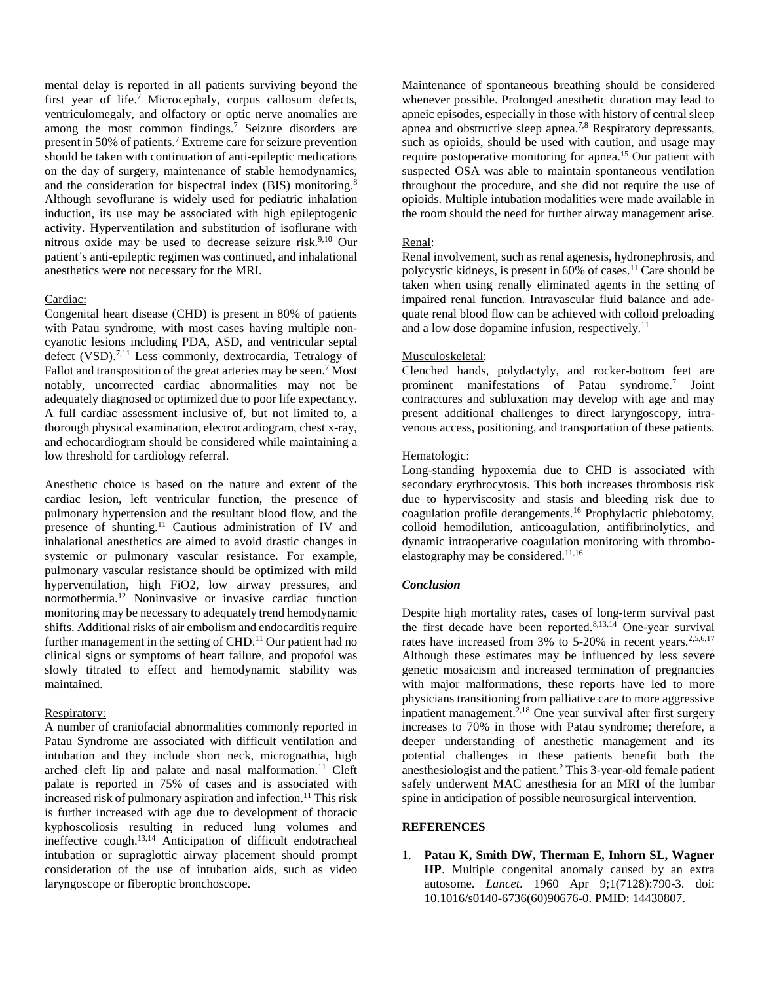mental delay is reported in all patients surviving beyond the first year of life. <sup>7</sup> Microcephaly, corpus callosum defects, ventriculomegaly, and olfactory or optic nerve anomalies are among the most common findings. <sup>7</sup> Seizure disorders are present in 50% of patients. <sup>7</sup> Extreme care for seizure prevention should be taken with continuation of anti-epileptic medications on the day of surgery, maintenance of stable hemodynamics, and the consideration for bispectral index (BIS) monitoring.<sup>8</sup> Although sevoflurane is widely used for pediatric inhalation induction, its use may be associated with high epileptogenic activity. Hyperventilation and substitution of isoflurane with nitrous oxide may be used to decrease seizure risk. 9,10 Our patient's anti-epileptic regimen was continued, and inhalational anesthetics were not necessary for the MRI.

## Cardiac:

Congenital heart disease (CHD) is present in 80% of patients with Patau syndrome, with most cases having multiple noncyanotic lesions including PDA, ASD, and ventricular septal defect (VSD).<sup>7,11</sup> Less commonly, dextrocardia, Tetralogy of Fallot and transposition of the great arteries may be seen.<sup>7</sup> Most notably, uncorrected cardiac abnormalities may not be adequately diagnosed or optimized due to poor life expectancy. A full cardiac assessment inclusive of, but not limited to, a thorough physical examination, electrocardiogram, chest x-ray, and echocardiogram should be considered while maintaining a low threshold for cardiology referral.

Anesthetic choice is based on the nature and extent of the cardiac lesion, left ventricular function, the presence of pulmonary hypertension and the resultant blood flow, and the presence of shunting. <sup>11</sup> Cautious administration of IV and inhalational anesthetics are aimed to avoid drastic changes in systemic or pulmonary vascular resistance. For example, pulmonary vascular resistance should be optimized with mild hyperventilation, high FiO2, low airway pressures, and normothermia. <sup>12</sup> Noninvasive or invasive cardiac function monitoring may be necessary to adequately trend hemodynamic shifts. Additional risks of air embolism and endocarditis require further management in the setting of CHD.<sup>11</sup> Our patient had no clinical signs or symptoms of heart failure, and propofol was slowly titrated to effect and hemodynamic stability was maintained.

# Respiratory:

A number of craniofacial abnormalities commonly reported in Patau Syndrome are associated with difficult ventilation and intubation and they include short neck, micrognathia, high arched cleft lip and palate and nasal malformation.<sup>11</sup> Cleft palate is reported in 75% of cases and is associated with increased risk of pulmonary aspiration and infection. <sup>11</sup> This risk is further increased with age due to development of thoracic kyphoscoliosis resulting in reduced lung volumes and ineffective cough. 13,14 Anticipation of difficult endotracheal intubation or supraglottic airway placement should prompt consideration of the use of intubation aids, such as video laryngoscope or fiberoptic bronchoscope.

Maintenance of spontaneous breathing should be considered whenever possible. Prolonged anesthetic duration may lead to apneic episodes, especially in those with history of central sleep apnea and obstructive sleep apnea.<sup>7,8</sup> Respiratory depressants, such as opioids, should be used with caution, and usage may require postoperative monitoring for apnea. <sup>15</sup> Our patient with suspected OSA was able to maintain spontaneous ventilation throughout the procedure, and she did not require the use of opioids. Multiple intubation modalities were made available in the room should the need for further airway management arise.

## Renal:

Renal involvement, such as renal agenesis, hydronephrosis, and polycystic kidneys, is present in 60% of cases. <sup>11</sup> Care should be taken when using renally eliminated agents in the setting of impaired renal function. Intravascular fluid balance and adequate renal blood flow can be achieved with colloid preloading and a low dose dopamine infusion, respectively.<sup>11</sup>

## Musculoskeletal:

Clenched hands, polydactyly, and rocker-bottom feet are prominent manifestations of Patau syndrome. <sup>7</sup> Joint contractures and subluxation may develop with age and may present additional challenges to direct laryngoscopy, intravenous access, positioning, and transportation of these patients.

## Hematologic:

Long-standing hypoxemia due to CHD is associated with secondary erythrocytosis. This both increases thrombosis risk due to hyperviscosity and stasis and bleeding risk due to coagulation profile derangements. <sup>16</sup> Prophylactic phlebotomy, colloid hemodilution, anticoagulation, antifibrinolytics, and dynamic intraoperative coagulation monitoring with thromboelastography may be considered.<sup>11,16</sup>

## *Conclusion*

Despite high mortality rates, cases of long-term survival past the first decade have been reported.<sup>8,13,14</sup> One-year survival rates have increased from 3% to 5-20% in recent years.<sup>2,5,6,17</sup> Although these estimates may be influenced by less severe genetic mosaicism and increased termination of pregnancies with major malformations, these reports have led to more physicians transitioning from palliative care to more aggressive inpatient management. 2,18 One year survival after first surgery increases to 70% in those with Patau syndrome; therefore, a deeper understanding of anesthetic management and its potential challenges in these patients benefit both the anesthesiologist and the patient. <sup>2</sup> This 3-year-old female patient safely underwent MAC anesthesia for an MRI of the lumbar spine in anticipation of possible neurosurgical intervention.

## **REFERENCES**

1. **Patau K, Smith DW, Therman E, Inhorn SL, Wagner HP**. Multiple congenital anomaly caused by an extra autosome. *Lancet*. 1960 Apr 9;1(7128):790-3. doi: 10.1016/s0140-6736(60)90676-0. PMID: 14430807.